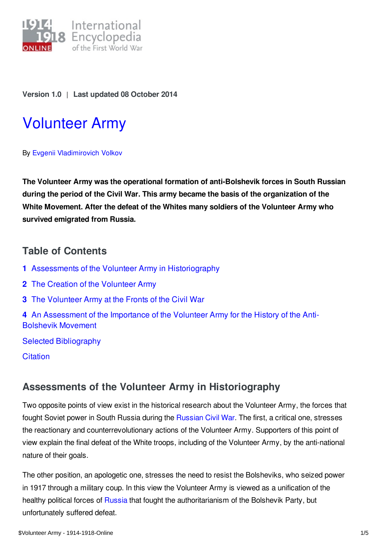

**Version 1.0** | **Last updated 08 October 2014**

# [Volunteer](https://encyclopedia.1914-1918-online.net/article/volunteer_army) Army

By Evgenii [Vladimirovich](https://encyclopedia.1914-1918-online.net/contributors/Evgenii_Vladimirovich_Volkov) Volkov

**The Volunteer Army was the operational formation of anti-Bolshevik forces in South Russian during the period of the Civil War. This army became the basis of the organization of the White Movement. After the defeat of the Whites many soldiers of the Volunteer Army who survived emigrated from Russia.**

### **Table of Contents**

- **1** Assessments of the Volunteer Army in [Historiography](#page-0-0)
- **2** The Creation of the [Volunteer](#page-1-0) Army
- **3** The [Volunteer](#page-2-0) Army at the Fronts of the Civil War
- **4** An [Assessment](#page-3-0) of the Importance of the Volunteer Army for the History of the Anti-Bolshevik Movement

Selected [Bibliography](#page-4-0)

**[Citation](#page-4-1)** 

## <span id="page-0-0"></span>**Assessments of the Volunteer Army in Historiography**

Two opposite points of view exist in the historical research about the Volunteer Army, the forces that fought Soviet power in South Russia during the [Russian](/article/russian_civil_war) Civil War. The first, a critical one, stresses the reactionary and counterrevolutionary actions of the Volunteer Army. Supporters of this point of view explain the final defeat of the White troops, including of the Volunteer Army, by the anti-national nature of their goals.

The other position, an apologetic one, stresses the need to resist the Bolsheviks, who seized power in 1917 through a military coup. In this view the Volunteer Army is viewed as a unification of the healthy political forces of [Russia](/article/russian_empire) that fought the authoritarianism of the Bolshevik Party, but unfortunately suffered defeat.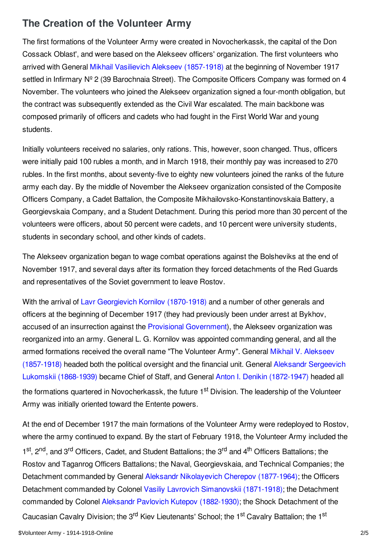## <span id="page-1-0"></span>**The Creation of the Volunteer Army**

The first formations of the Volunteer Army were created in Novocherkassk, the capital of the Don Cossack Oblast', and were based on the Alekseev officers' organization. The first volunteers who arrived with General Mikhail Vasilievich Alekseev [\(1857-1918\)](/index/names/121202860) at the beginning of November 1917 settled in Infirmary Nº 2 (39 Barochnaia Street). The Composite Officers Company was formed on 4 November. The volunteers who joined the Alekseev organization signed a four-month obligation, but the contract was subsequently extended as the Civil War escalated. The main backbone was composed primarily of officers and cadets who had fought in the First World War and young students.

Initially volunteers received no salaries, only rations. This, however, soon changed. Thus, officers were initially paid 100 rubles a month, and in March 1918, their monthly pay was increased to 270 rubles. In the first months, about seventy-five to eighty new volunteers joined the ranks of the future army each day. By the middle of November the Alekseev organization consisted of the Composite Officers Company, a Cadet Battalion, the Composite Mikhailovsko-Konstantinovskaia Battery, a Georgievskaia Company, and a Student Detachment. During this period more than 30 percent of the volunteers were officers, about 50 percent were cadets, and 10 percent were university students, students in secondary school, and other kinds of cadets.

The Alekseev organization began to wage combat operations against the Bolsheviks at the end of November 1917, and several days after its formation they forced detachments of the Red Guards and representatives of the Soviet government to leave Rostov.

With the arrival of Lavr [Georgievich](/index/names/119342367) Kornilov (1870-1918) and a number of other generals and officers at the beginning of December 1917 (they had previously been under arrest at Bykhov, accused of an insurrection against the Provisional [Government](/article/provisional_government)), the Alekseev organization was reorganized into an army. General L. G. Kornilov was appointed commanding general, and all the armed formations received the overall name "The Volunteer Army". General Mikhail V. Alekseev [\(1857-1918\)](/index/names/121202860) headed both the political oversight and the financial unit. General Aleksandr Sergeevich Lukomskii [\(1868-1939\)](/index/names/1058890026) became Chief of Staff, and General Anton I. Denikin [\(1872-1947\)](/index/names/119112361) headed all the formations quartered in Novocherkassk, the future 1<sup>st</sup> Division. The leadership of the Volunteer Army was initially oriented toward the Entente powers.

At the end of December 1917 the main formations of the Volunteer Army were redeployed to Rostov, where the army continued to expand. By the start of February 1918, the Volunteer Army included the 1<sup>st</sup>, 2<sup>nd</sup>, and 3<sup>rd</sup> Officers, Cadet, and Student Battalions; the 3<sup>rd</sup> and 4<sup>th</sup> Officers Battalions; the Rostov and Taganrog Officers Battalions; the Naval, Georgievskaia, and Technical Companies; the Detachment commanded by General Aleksandr [Nikolayevich](/index/names/1058890395) Cherepov (1877-1964); the Officers Detachment commanded by Colonel Vasiliy Lavrovich [Simanovskii](/index/names/1058890832) (1871-1918); the Detachment commanded by Colonel Aleksandr Pavlovich Kutepov [\(1882-1930\)](/index/names/12195370X); the Shock Detachment of the Caucasian Cavalry Division; the 3<sup>rd</sup> Kiev Lieutenants' School; the 1<sup>st</sup> Cavalry Battalion; the 1<sup>st</sup>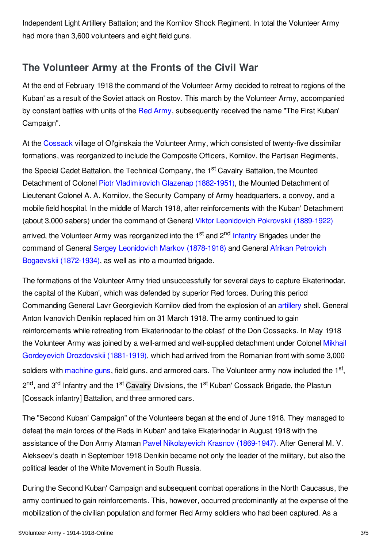Independent Light Artillery Battalion; and the Kornilov Shock Regiment. In total the Volunteer Army had more than 3,600 volunteers and eight field guns.

## <span id="page-2-0"></span>**The Volunteer Army at the Fronts of the Civil War**

At the end of February 1918 the command of the Volunteer Army decided to retreat to regions of the Kuban' as a result of the Soviet attack on Rostov. This march by the Volunteer Army, accompanied by constant battles with units of the Red [Army](/article/red_army), subsequently received the name "The First Kuban' Campaign".

At the [Cossack](/article/cossacks) village of Ol'ginskaia the Volunteer Army, which consisted of twenty-five dissimilar formations, was reorganized to include the Composite Officers, Kornilov, the Partisan Regiments, the Special Cadet Battalion, the Technical Company, the 1<sup>st</sup> Cavalry Battalion, the Mounted Detachment of Colonel Piotr [Vladimirovich](/index/names/1058891677) Glazenap (1882-1951), the Mounted Detachment of Lieutenant Colonel A. A. Kornilov, the Security Company of Army headquarters, a convoy, and a mobile field hospital. In the middle of March 1918, after reinforcements with the Kuban' Detachment (about 3,000 sabers) under the command of General Viktor [Leonidovich](/index/names/1056816872) Pokrovskii (1889-1922) arrived, the Volunteer Army was reorganized into the 1<sup>st</sup> and 2<sup>nd</sup> [Infantry](/article/infantry) Brigades under the command of General Sergey [Leonidovich](/index/names/130257982) Markov (1878-1918) and General Afrikan Petrovich Bogaevskii [\(1872-1934\),](/index/names/1058892193) as well as into a mounted brigade.

The formations of the Volunteer Army tried unsuccessfully for several days to capture Ekaterinodar, the capital of the Kuban', which was defended by superior Red forces. During this period Commanding General Lavr Georgievich Kornilov died from the explosion of an [artillery](/article/artillery) shell. General Anton Ivanovich Denikin replaced him on 31 March 1918. The army continued to gain reinforcements while retreating from Ekaterinodar to the oblast' of the Don Cossacks. In May 1918 the Volunteer Army was joined by a well-armed and [well-supplied](/index/names/126334390) detachment under Colonel Mikhail Gordeyevich Drozdovskii (1881-1919), which had arrived from the Romanian front with some 3,000 soldiers with [machine](/article/machine_gun) guns, field guns, and armored cars. The Volunteer army now included the 1<sup>st</sup>, 2<sup>nd</sup>, and 3<sup>rd</sup> Infantry and the 1<sup>st</sup> [Cavalry](/article/cavalry) Divisions, the 1<sup>st</sup> Kuban' Cossack Brigade, the Plastun [Cossack infantry] Battalion, and three armored cars.

The "Second Kuban' Campaign" of the Volunteers began at the end of June 1918. They managed to defeat the main forces of the Reds in Kuban' and take Ekaterinodar in August 1918 with the assistance of the Don Army Ataman Pavel [Nikolayevich](/index/names/123577284) Krasnov (1869-1947). After General M. V. Alekseev's death in September 1918 Denikin became not only the leader of the military, but also the political leader of the White Movement in South Russia.

During the Second Kuban' Campaign and subsequent combat operations in the North Caucasus, the army continued to gain reinforcements. This, however, occurred predominantly at the expense of the mobilization of the civilian population and former Red Army soldiers who had been captured. As a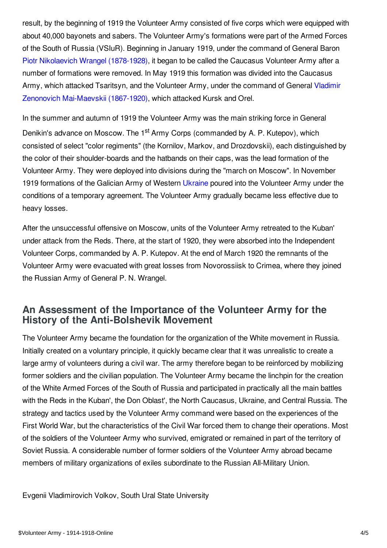result, by the beginning of 1919 the Volunteer Army consisted of five corps which were equipped with about 40,000 bayonets and sabers. The Volunteer Army's formations were part of the Armed Forces of the South of Russia (VSIuR). Beginning in January 1919, under the command of General Baron Piotr Nikolaevich Wrangel [\(1878-1928\)](/index/names/118643185), it began to be called the Caucasus Volunteer Army after a number of formations were removed. In May 1919 this formation was divided into the Caucasus Army, which attacked Tsaritsyn, and the Volunteer Army, under the command of General Vladimir Zenonovich [Mai-Maevskii](/index/names/119278634) (1867-1920), which attacked Kursk and Orel.

In the summer and autumn of 1919 the Volunteer Army was the main striking force in General Denikin's advance on Moscow. The 1<sup>st</sup> Army Corps (commanded by A. P. Kutepov), which consisted of select "color regiments" (the Kornilov, Markov, and Drozdovskii), each distinguished by the color of their shoulder-boards and the hatbands on their caps, was the lead formation of the Volunteer Army. They were deployed into divisions during the "march on Moscow". In November 1919 formations of the Galician Army of Western [Ukraine](/article/ukraine) poured into the Volunteer Army under the conditions of a temporary agreement. The Volunteer Army gradually became less effective due to heavy losses.

After the unsuccessful offensive on Moscow, units of the Volunteer Army retreated to the Kuban' under attack from the Reds. There, at the start of 1920, they were absorbed into the Independent Volunteer Corps, commanded by A. P. Kutepov. At the end of March 1920 the remnants of the Volunteer Army were evacuated with great losses from Novorossiisk to Crimea, where they joined the Russian Army of General P. N. Wrangel.

### <span id="page-3-0"></span>**An Assessment of the Importance of the Volunteer Army for the History of the Anti-Bolshevik Movement**

The Volunteer Army became the foundation for the organization of the White movement in Russia. Initially created on a voluntary principle, it quickly became clear that it was unrealistic to create a large army of volunteers during a civil war. The army therefore began to be reinforced by mobilizing former soldiers and the civilian population. The Volunteer Army became the linchpin for the creation of the White Armed Forces of the South of Russia and participated in practically all the main battles with the Reds in the Kuban', the Don Oblast', the North Caucasus, Ukraine, and Central Russia. The strategy and tactics used by the Volunteer Army command were based on the experiences of the First World War, but the characteristics of the Civil War forced them to change their operations. Most of the soldiers of the Volunteer Army who survived, emigrated or remained in part of the territory of Soviet Russia. A considerable number of former soldiers of the Volunteer Army abroad became members of military organizations of exiles subordinate to the Russian All-Military Union.

Evgenii Vladimirovich Volkov, South Ural State University